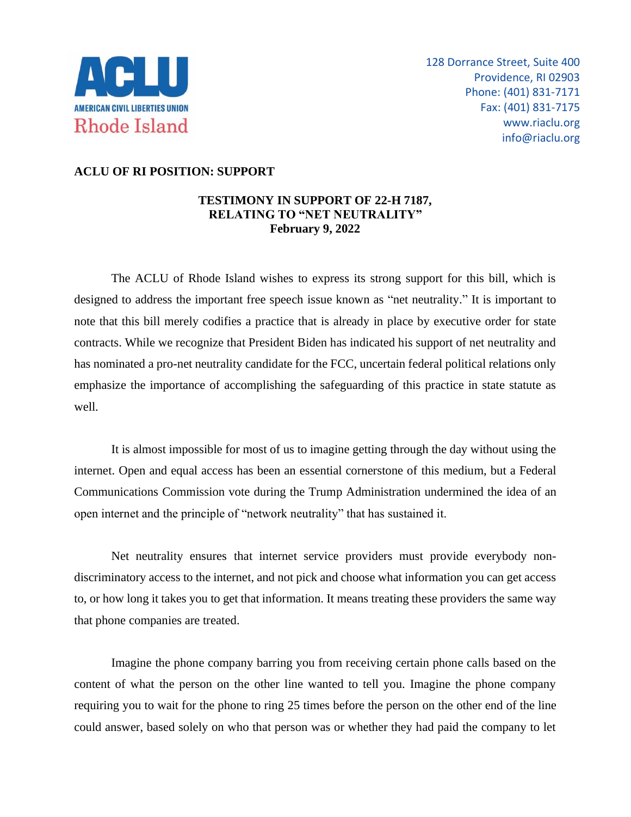

## **ACLU OF RI POSITION: SUPPORT**

## **TESTIMONY IN SUPPORT OF 22-H 7187, RELATING TO "NET NEUTRALITY" February 9, 2022**

The ACLU of Rhode Island wishes to express its strong support for this bill, which is designed to address the important free speech issue known as "net neutrality." It is important to note that this bill merely codifies a practice that is already in place by executive order for state contracts. While we recognize that President Biden has indicated his support of net neutrality and has nominated a pro-net neutrality candidate for the FCC, uncertain federal political relations only emphasize the importance of accomplishing the safeguarding of this practice in state statute as well.

It is almost impossible for most of us to imagine getting through the day without using the internet. Open and equal access has been an essential cornerstone of this medium, but a Federal Communications Commission vote during the Trump Administration undermined the idea of an open internet and the principle of "network neutrality" that has sustained it.

Net neutrality ensures that internet service providers must provide everybody nondiscriminatory access to the internet, and not pick and choose what information you can get access to, or how long it takes you to get that information. It means treating these providers the same way that phone companies are treated.

Imagine the phone company barring you from receiving certain phone calls based on the content of what the person on the other line wanted to tell you. Imagine the phone company requiring you to wait for the phone to ring 25 times before the person on the other end of the line could answer, based solely on who that person was or whether they had paid the company to let